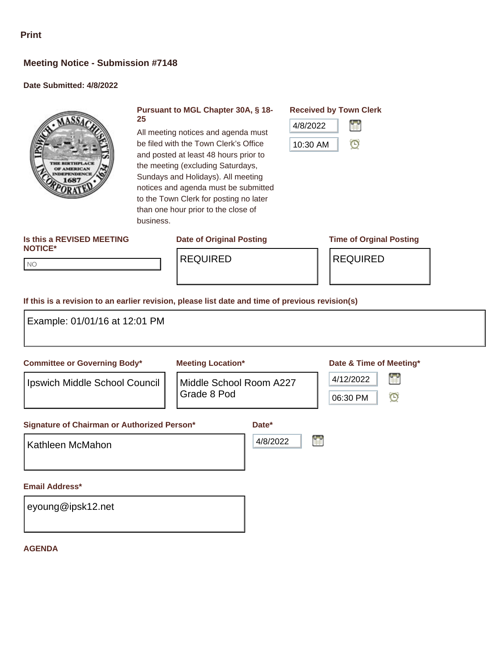# **Meeting Notice - Submission #7148**

### **Date Submitted: 4/8/2022**



#### **Pursuant to MGL Chapter 30A, § 18- 25**

All meeting notices and agenda must be filed with the Town Clerk's Office and posted at least 48 hours prior to the meeting (excluding Saturdays, Sundays and Holidays). All meeting notices and agenda must be submitted to the Town Clerk for posting no later than one hour prior to the close of

**Received by Town Clerk**



#### **Is this a REVISED MEETING NOTICE\***

NO NO

REQUIRED REQUIRED

## **Date of Original Posting Time of Orginal Posting**

**If this is a revision to an earlier revision, please list date and time of previous revision(s)**

business.

| Example: 01/01/16 at 12:01 PM               |                                        |          |                                                |
|---------------------------------------------|----------------------------------------|----------|------------------------------------------------|
| <b>Committee or Governing Body*</b>         | <b>Meeting Location*</b>               |          | Date & Time of Meeting*                        |
| Ipswich Middle School Council               | Middle School Room A227<br>Grade 8 Pod |          | r<br>4/12/2022<br>$\mathbf \Theta$<br>06:30 PM |
| Signature of Chairman or Authorized Person* |                                        | Date*    |                                                |
| Kathleen McMahon                            |                                        | 4/8/2022 | Ľ                                              |
| <b>Email Address*</b>                       |                                        |          |                                                |
| eyoung@ipsk12.net                           |                                        |          |                                                |

#### **AGENDA**